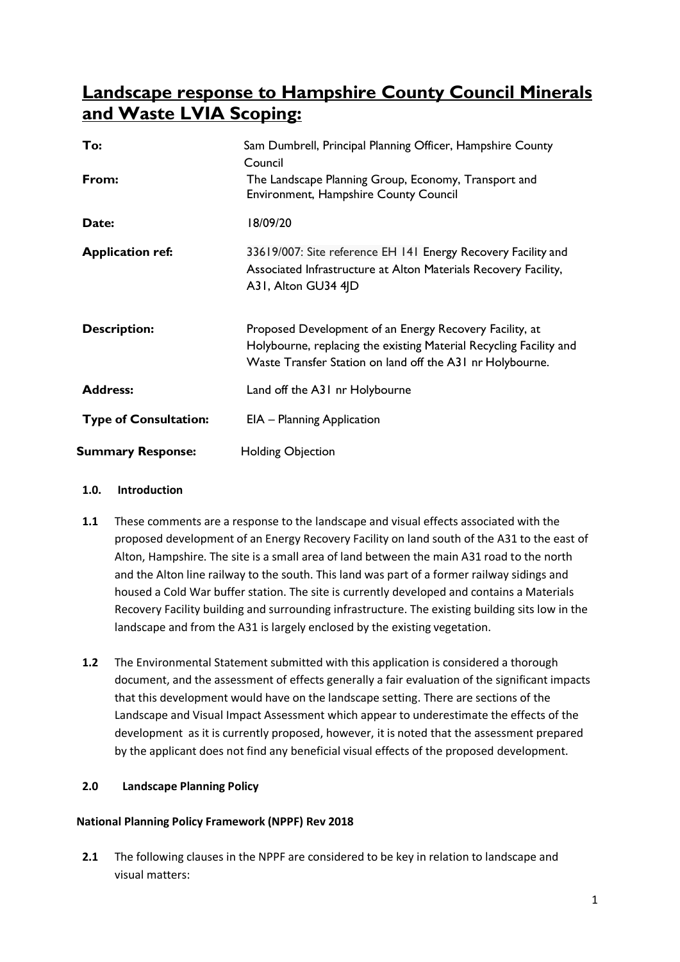# **Landscape response to Hampshire County Council Minerals and Waste LVIA Scoping:**

| To:                          | Sam Dumbrell, Principal Planning Officer, Hampshire County<br>Council                                                                                                                      |
|------------------------------|--------------------------------------------------------------------------------------------------------------------------------------------------------------------------------------------|
| From:                        | The Landscape Planning Group, Economy, Transport and<br><b>Environment, Hampshire County Council</b>                                                                                       |
| Date:                        | 18/09/20                                                                                                                                                                                   |
| <b>Application ref:</b>      | 33619/007: Site reference EH 141 Energy Recovery Facility and<br>Associated Infrastructure at Alton Materials Recovery Facility,<br>A31, Alton GU34 4JD                                    |
| <b>Description:</b>          | Proposed Development of an Energy Recovery Facility, at<br>Holybourne, replacing the existing Material Recycling Facility and<br>Waste Transfer Station on land off the A31 nr Holybourne. |
| <b>Address:</b>              | Land off the A31 nr Holybourne                                                                                                                                                             |
| <b>Type of Consultation:</b> | EIA - Planning Application                                                                                                                                                                 |
| <b>Summary Response:</b>     | <b>Holding Objection</b>                                                                                                                                                                   |

## **1.0. Introduction**

- **1.1** These comments are a response to the landscape and visual effects associated with the proposed development of an Energy Recovery Facility on land south of the A31 to the east of Alton, Hampshire. The site is a small area of land between the main A31 road to the north and the Alton line railway to the south. This land was part of a former railway sidings and housed a Cold War buffer station. The site is currently developed and contains a Materials Recovery Facility building and surrounding infrastructure. The existing building sits low in the landscape and from the A31 is largely enclosed by the existing vegetation.
- **1.2** The Environmental Statement submitted with this application is considered a thorough document, and the assessment of effects generally a fair evaluation of the significant impacts that this development would have on the landscape setting. There are sections of the Landscape and Visual Impact Assessment which appear to underestimate the effects of the development as it is currently proposed, however, it is noted that the assessment prepared by the applicant does not find any beneficial visual effects of the proposed development.

# **2.0 Landscape Planning Policy**

# **National Planning Policy Framework (NPPF) Rev 2018**

**2.1** The following clauses in the NPPF are considered to be key in relation to landscape and visual matters: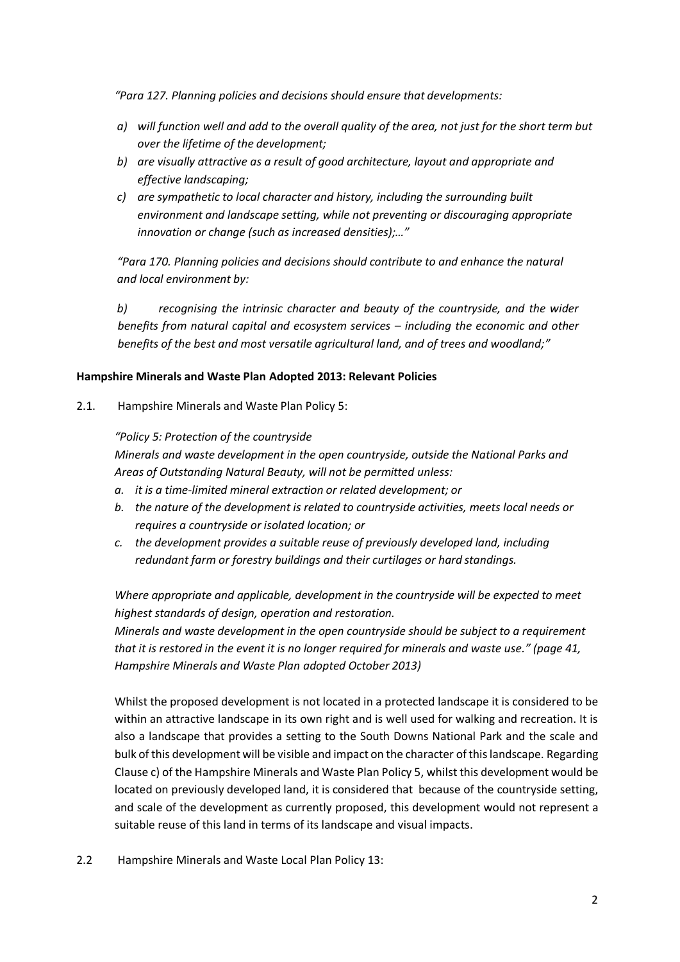*"Para 127. Planning policies and decisions should ensure that developments:*

- *a) will function well and add to the overall quality of the area, not just for the short term but over the lifetime of the development;*
- *b) are visually attractive as a result of good architecture, layout and appropriate and effective landscaping;*
- *c) are sympathetic to local character and history, including the surrounding built environment and landscape setting, while not preventing or discouraging appropriate innovation or change (such as increased densities);…"*

*"Para 170. Planning policies and decisions should contribute to and enhance the natural and local environment by:*

*b) recognising the intrinsic character and beauty of the countryside, and the wider benefits from natural capital and ecosystem services – including the economic and other benefits of the best and most versatile agricultural land, and of trees and woodland;"* 

## **Hampshire Minerals and Waste Plan Adopted 2013: Relevant Policies**

2.1. Hampshire Minerals and Waste Plan Policy 5:

*"Policy 5: Protection of the countryside*

*Minerals and waste development in the open countryside, outside the National Parks and Areas of Outstanding Natural Beauty, will not be permitted unless:*

- *a. it is a time-limited mineral extraction or related development; or*
- *b. the nature of the development is related to countryside activities, meets local needs or requires a countryside or isolated location; or*
- *c. the development provides a suitable reuse of previously developed land, including redundant farm or forestry buildings and their curtilages or hard standings.*

*Where appropriate and applicable, development in the countryside will be expected to meet highest standards of design, operation and restoration.*

*Minerals and waste development in the open countryside should be subject to a requirement that it is restored in the event it is no longer required for minerals and waste use." (page 41, Hampshire Minerals and Waste Plan adopted October 2013)*

Whilst the proposed development is not located in a protected landscape it is considered to be within an attractive landscape in its own right and is well used for walking and recreation. It is also a landscape that provides a setting to the South Downs National Park and the scale and bulk of this development will be visible and impact on the character of this landscape. Regarding Clause c) of the Hampshire Minerals and Waste Plan Policy 5, whilst this development would be located on previously developed land, it is considered that because of the countryside setting, and scale of the development as currently proposed, this development would not represent a suitable reuse of this land in terms of its landscape and visual impacts.

2.2 Hampshire Minerals and Waste Local Plan Policy 13: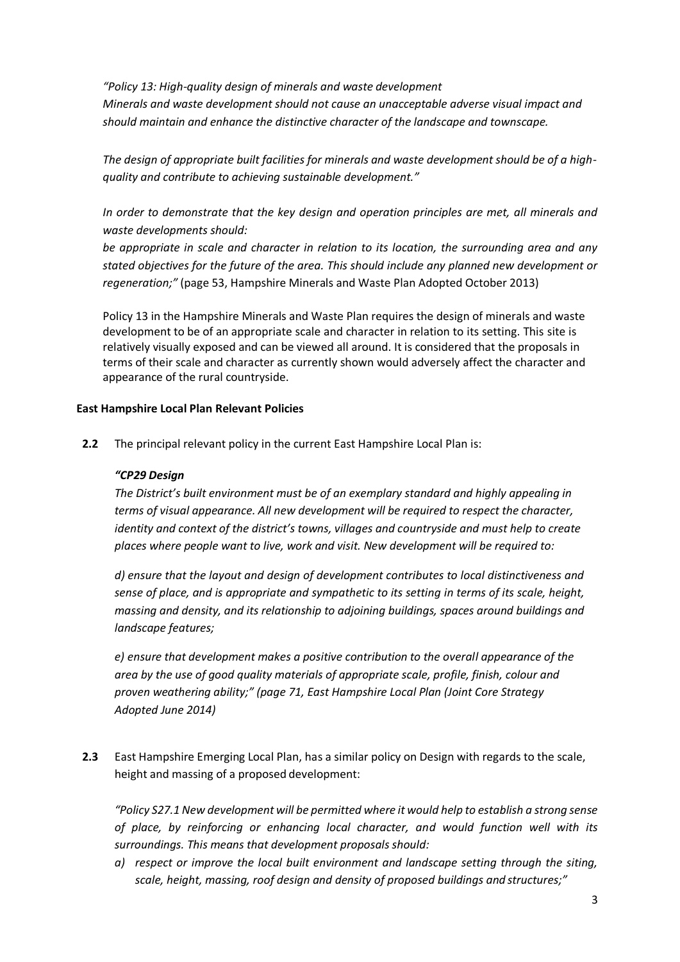*"Policy 13: High-quality design of minerals and waste development Minerals and waste development should not cause an unacceptable adverse visual impact and should maintain and enhance the distinctive character of the landscape and townscape.*

*The design of appropriate built facilities for minerals and waste development should be of a highquality and contribute to achieving sustainable development."* 

*In order to demonstrate that the key design and operation principles are met, all minerals and waste developments should:*

*be appropriate in scale and character in relation to its location, the surrounding area and any stated objectives for the future of the area. This should include any planned new development or regeneration;"* (page 53, Hampshire Minerals and Waste Plan Adopted October 2013)

Policy 13 in the Hampshire Minerals and Waste Plan requires the design of minerals and waste development to be of an appropriate scale and character in relation to its setting. This site is relatively visually exposed and can be viewed all around. It is considered that the proposals in terms of their scale and character as currently shown would adversely affect the character and appearance of the rural countryside.

#### **East Hampshire Local Plan Relevant Policies**

**2.2** The principal relevant policy in the current East Hampshire Local Plan is:

#### *"CP29 Design*

*The District's built environment must be of an exemplary standard and highly appealing in terms of visual appearance. All new development will be required to respect the character, identity and context of the district's towns, villages and countryside and must help to create places where people want to live, work and visit. New development will be required to:*

*d) ensure that the layout and design of development contributes to local distinctiveness and sense of place, and is appropriate and sympathetic to its setting in terms of its scale, height, massing and density, and its relationship to adjoining buildings, spaces around buildings and landscape features;*

*e) ensure that development makes a positive contribution to the overall appearance of the area by the use of good quality materials of appropriate scale, profile, finish, colour and proven weathering ability;" (page 71, East Hampshire Local Plan (Joint Core Strategy Adopted June 2014)*

**2.3** East Hampshire Emerging Local Plan, has a similar policy on Design with regards to the scale, height and massing of a proposed development:

*"Policy S27.1 New development will be permitted where it would help to establish a strong sense of place, by reinforcing or enhancing local character, and would function well with its surroundings. This means that development proposals should:*

*a) respect or improve the local built environment and landscape setting through the siting, scale, height, massing, roof design and density of proposed buildings and structures;"*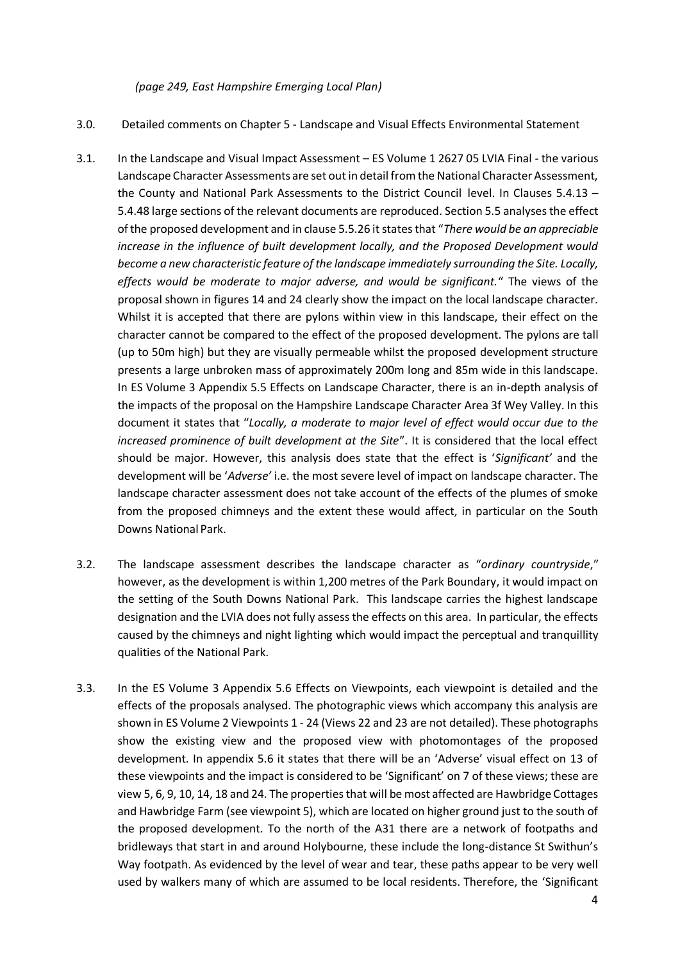*(page 249, East Hampshire Emerging Local Plan)*

- 3.0. Detailed comments on Chapter 5 Landscape and Visual Effects Environmental Statement
- 3.1. In the Landscape and Visual Impact Assessment ES Volume 1 2627 05 LVIA Final the various Landscape Character Assessments are set out in detail from the National Character Assessment, the County and National Park Assessments to the District Council level. In Clauses 5.4.13 – 5.4.48 large sections of the relevant documents are reproduced. Section 5.5 analyses the effect of the proposed development and in clause 5.5.26 it states that "*There would be an appreciable increase in the influence of built development locally, and the Proposed Development would become a new characteristic feature of the landscape immediately surrounding the Site. Locally, effects would be moderate to major adverse, and would be significant.*" The views of the proposal shown in figures 14 and 24 clearly show the impact on the local landscape character. Whilst it is accepted that there are pylons within view in this landscape, their effect on the character cannot be compared to the effect of the proposed development. The pylons are tall (up to 50m high) but they are visually permeable whilst the proposed development structure presents a large unbroken mass of approximately 200m long and 85m wide in this landscape. In ES Volume 3 Appendix 5.5 Effects on Landscape Character, there is an in-depth analysis of the impacts of the proposal on the Hampshire Landscape Character Area 3f Wey Valley. In this document it states that "*Locally, a moderate to major level of effect would occur due to the increased prominence of built development at the Site*". It is considered that the local effect should be major. However, this analysis does state that the effect is '*Significant'* and the development will be '*Adverse'* i.e. the most severe level of impact on landscape character. The landscape character assessment does not take account of the effects of the plumes of smoke from the proposed chimneys and the extent these would affect, in particular on the South Downs National Park.
- 3.2. The landscape assessment describes the landscape character as "*ordinary countryside*," however, as the development is within 1,200 metres of the Park Boundary, it would impact on the setting of the South Downs National Park. This landscape carries the highest landscape designation and the LVIA does not fully assess the effects on this area. In particular, the effects caused by the chimneys and night lighting which would impact the perceptual and tranquillity qualities of the National Park.
- 3.3. In the ES Volume 3 Appendix 5.6 Effects on Viewpoints, each viewpoint is detailed and the effects of the proposals analysed. The photographic views which accompany this analysis are shown in ES Volume 2 Viewpoints 1 - 24 (Views 22 and 23 are not detailed). These photographs show the existing view and the proposed view with photomontages of the proposed development. In appendix 5.6 it states that there will be an 'Adverse' visual effect on 13 of these viewpoints and the impact is considered to be 'Significant' on 7 of these views; these are view 5, 6, 9, 10, 14, 18 and 24. The properties that will be most affected are Hawbridge Cottages and Hawbridge Farm (see viewpoint 5), which are located on higher ground just to the south of the proposed development. To the north of the A31 there are a network of footpaths and bridleways that start in and around Holybourne, these include the long-distance St Swithun's Way footpath. As evidenced by the level of wear and tear, these paths appear to be very well used by walkers many of which are assumed to be local residents. Therefore, the 'Significant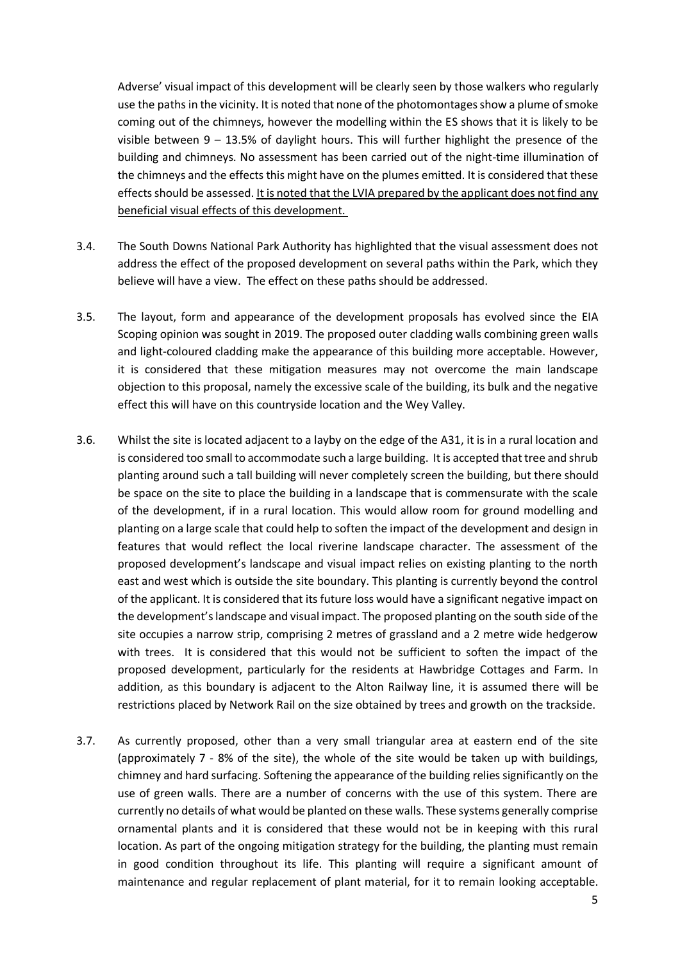Adverse' visual impact of this development will be clearly seen by those walkers who regularly use the paths in the vicinity. It is noted that none of the photomontages show a plume of smoke coming out of the chimneys, however the modelling within the ES shows that it is likely to be visible between  $9 - 13.5%$  of daylight hours. This will further highlight the presence of the building and chimneys. No assessment has been carried out of the night-time illumination of the chimneys and the effects this might have on the plumes emitted. It is considered that these effects should be assessed. It is noted that the LVIA prepared by the applicant does not find any beneficial visual effects of this development.

- 3.4. The South Downs National Park Authority has highlighted that the visual assessment does not address the effect of the proposed development on several paths within the Park, which they believe will have a view. The effect on these paths should be addressed.
- 3.5. The layout, form and appearance of the development proposals has evolved since the EIA Scoping opinion was sought in 2019. The proposed outer cladding walls combining green walls and light-coloured cladding make the appearance of this building more acceptable. However, it is considered that these mitigation measures may not overcome the main landscape objection to this proposal, namely the excessive scale of the building, its bulk and the negative effect this will have on this countryside location and the Wey Valley.
- 3.6. Whilst the site is located adjacent to a layby on the edge of the A31, it is in a rural location and is considered too small to accommodate such a large building. It is accepted that tree and shrub planting around such a tall building will never completely screen the building, but there should be space on the site to place the building in a landscape that is commensurate with the scale of the development, if in a rural location. This would allow room for ground modelling and planting on a large scale that could help to soften the impact of the development and design in features that would reflect the local riverine landscape character. The assessment of the proposed development's landscape and visual impact relies on existing planting to the north east and west which is outside the site boundary. This planting is currently beyond the control of the applicant. It is considered that its future loss would have a significant negative impact on the development's landscape and visual impact. The proposed planting on the south side of the site occupies a narrow strip, comprising 2 metres of grassland and a 2 metre wide hedgerow with trees. It is considered that this would not be sufficient to soften the impact of the proposed development, particularly for the residents at Hawbridge Cottages and Farm. In addition, as this boundary is adjacent to the Alton Railway line, it is assumed there will be restrictions placed by Network Rail on the size obtained by trees and growth on the trackside.
- 3.7. As currently proposed, other than a very small triangular area at eastern end of the site (approximately 7 - 8% of the site), the whole of the site would be taken up with buildings, chimney and hard surfacing. Softening the appearance of the building relies significantly on the use of green walls. There are a number of concerns with the use of this system. There are currently no details of what would be planted on these walls. These systems generally comprise ornamental plants and it is considered that these would not be in keeping with this rural location. As part of the ongoing mitigation strategy for the building, the planting must remain in good condition throughout its life. This planting will require a significant amount of maintenance and regular replacement of plant material, for it to remain looking acceptable.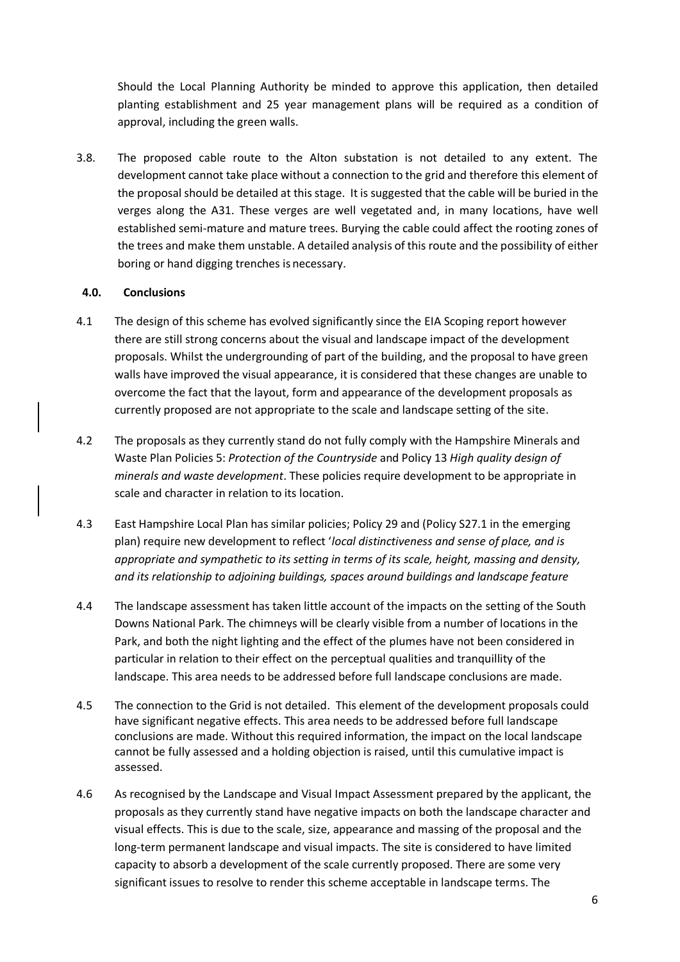Should the Local Planning Authority be minded to approve this application, then detailed planting establishment and 25 year management plans will be required as a condition of approval, including the green walls.

3.8. The proposed cable route to the Alton substation is not detailed to any extent. The development cannot take place without a connection to the grid and therefore this element of the proposal should be detailed at this stage. It is suggested that the cable will be buried in the verges along the A31. These verges are well vegetated and, in many locations, have well established semi-mature and mature trees. Burying the cable could affect the rooting zones of the trees and make them unstable. A detailed analysis of this route and the possibility of either boring or hand digging trenches is necessary.

## **4.0. Conclusions**

- 4.1 The design of this scheme has evolved significantly since the EIA Scoping report however there are still strong concerns about the visual and landscape impact of the development proposals. Whilst the undergrounding of part of the building, and the proposal to have green walls have improved the visual appearance, it is considered that these changes are unable to overcome the fact that the layout, form and appearance of the development proposals as currently proposed are not appropriate to the scale and landscape setting of the site.
- 4.2 The proposals as they currently stand do not fully comply with the Hampshire Minerals and Waste Plan Policies 5: *Protection of the Countryside* and Policy 13 *High quality design of minerals and waste development*. These policies require development to be appropriate in scale and character in relation to its location.
- 4.3 East Hampshire Local Plan has similar policies; Policy 29 and (Policy S27.1 in the emerging plan) require new development to reflect '*local distinctiveness and sense of place, and is appropriate and sympathetic to its setting in terms of its scale, height, massing and density, and its relationship to adjoining buildings, spaces around buildings and landscape feature*
- 4.4 The landscape assessment has taken little account of the impacts on the setting of the South Downs National Park. The chimneys will be clearly visible from a number of locations in the Park, and both the night lighting and the effect of the plumes have not been considered in particular in relation to their effect on the perceptual qualities and tranquillity of the landscape. This area needs to be addressed before full landscape conclusions are made.
- 4.5 The connection to the Grid is not detailed. This element of the development proposals could have significant negative effects. This area needs to be addressed before full landscape conclusions are made. Without this required information, the impact on the local landscape cannot be fully assessed and a holding objection is raised, until this cumulative impact is assessed.
- 4.6 As recognised by the Landscape and Visual Impact Assessment prepared by the applicant, the proposals as they currently stand have negative impacts on both the landscape character and visual effects. This is due to the scale, size, appearance and massing of the proposal and the long-term permanent landscape and visual impacts. The site is considered to have limited capacity to absorb a development of the scale currently proposed. There are some very significant issues to resolve to render this scheme acceptable in landscape terms. The